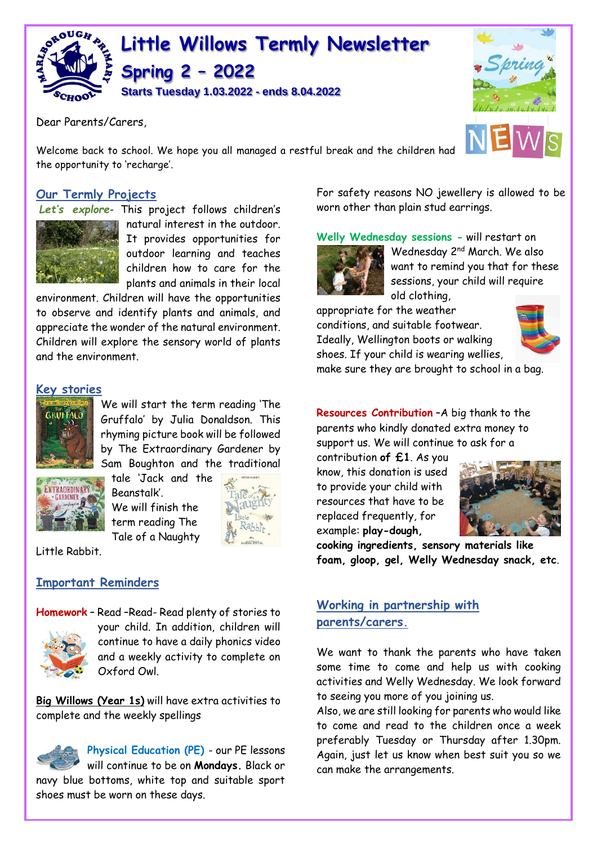

Dear Parents/Carers,

Welcome back to school. We hope you all managed a restful break and the children had the opportunity to 'recharge'.

### **Our Termly Projects**

*Let's explore*- This project follows children's



natural interest in the outdoor. It provides opportunities for outdoor learning and teaches children how to care for the plants and animals in their local

environment. Children will have the opportunities to observe and identify plants and animals, and appreciate the wonder of the natural environment. Children will explore the sensory world of plants and the environment.

### **Key stories**



We will start the term reading 'The Gruffalo' by Julia Donaldson. This rhyming picture book will be followed by The Extraordinary Gardener by Sam Boughton and the traditional

EXTRAORDINARY CARDENET

tale 'Jack and the Beanstalk'. We will finish the term reading The Tale of a Naughty



Little Rabbit.

#### **Important Reminders**



**Homework** – Read –Read- Read plenty of stories to your child. In addition, children will continue to have a daily phonics video and a weekly activity to complete on Oxford Owl.

**Big Willows (Year 1s)** will have extra activities to complete and the weekly spellings



**Physical Education (PE)** - our PE lessons will continue to be on **Mondays.** Black or navy blue bottoms, white top and suitable sport shoes must be worn on these days.

For safety reasons NO jewellery is allowed to be worn other than plain stud earrings.

**Welly Wednesday sessions -** will restart on



Wednesday 2<sup>nd</sup> March. We also want to remind you that for these sessions, your child will require old clothing,

appropriate for the weather conditions, and suitable footwear. Ideally, Wellington boots or walking

shoes. If your child is wearing wellies,



make sure they are brought to school in a bag.

**Resources Contribution** –A big thank to the parents who kindly donated extra money to support us. We will continue to ask for a

contribution **of £1**. As you know, this donation is used to provide your child with resources that have to be replaced frequently, for example: **play-dough,** 



**cooking ingredients, sensory materials like foam, gloop, gel, Welly Wednesday snack, etc**.

# **Working in partnership with parents/carers.**

We want to thank the parents who have taken some time to come and help us with cooking activities and Welly Wednesday. We look forward to seeing you more of you joining us.

Also, we are still looking for parents who would like to come and read to the children once a week preferably Tuesday or Thursday after 1.30pm. Again, just let us know when best suit you so we can make the arrangements.